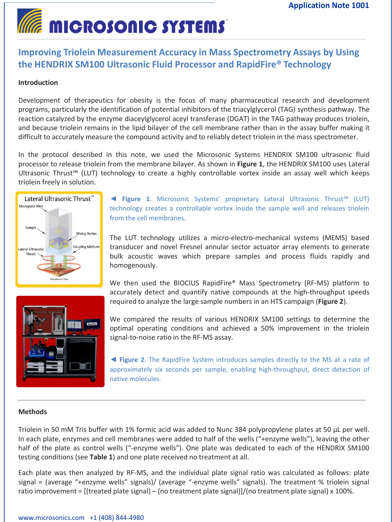# **E** MICROSONIC SYSTEMS

## **Improving Triolein Measurement Accuracy in Mass Spectrometry Assays by Using the HENDRIX SM100 Ultrasonic Fluid Processor and RapidFire® Technology**

### **Introduction**

Development of therapeutics for obesity is the focus of many pharmaceutical research and development programs, particularly the identification of potential inhibitors of the triacylglycerol (TAG) synthesis pathway. The reaction catalyzed by the enzyme diaceylglycerol aceyl transferase (DGAT) in the TAG pathway produces triolein, and because triolein remains in the lipid bilayer of the cell membrane rather than in the assay buffer making it difficult to accurately measure the compound activity and to reliably detect triolein in the mass spectrometer.

In the protocol described in this note, we used the Microsonic Systems HENDRIX SM100 ultrasonic fluid processor to release triolein from the membrane bilayer. As shown in **Figure 1**, the HENDRIX SM100 uses Lateral Ultrasonic Thrust™ (LUT) technology to create a highly controllable vortex inside an assay well which keeps triolein freely in solution.



**◄ Figure 1**. Microsonic Systems' proprietary Lateral Ultrasonic Thrust™ (LUT) technology creates a controllable vortex inside the sample well and releases triolein from the cell membranes.

The LUT technology utilizes a micro-electro-mechanical systems (MEMS) based transducer and novel Fresnel annular sector actuator array elements to generate bulk acoustic waves which prepare samples and process fluids rapidly and homogenously.





We compared the results of various HENDRIX SM100 settings to determine the optimal operating conditions and achieved a 50% improvement in the triolein signal-to-noise ratio in the RF-MS assay.

**◄ Figure 2**. The RapidFire System introduces samples directly to the MS at a rate of approximately six seconds per sample, enabling high-throughput, direct detection of native molecules.

#### **Methods**

Triolein in 50 mM Tris buffer with 1% formic acid was added to Nunc 384 polypropylene plates at 50 µL per well. In each plate, enzymes and cell membranes were added to half of the wells ("+enzyme wells"), leaving the other half of the plate as control wells ("-enzyme wells"). One plate was dedicated to each of the HENDRIX SM100 testing conditions (see **Table 1**) and one plate received no treatment at all.

Each plate was then analyzed by RF-MS, and the individual plate signal ratio was calculated as follows: plate signal = (average "+enzyme wells" signals)/ (average "-enzyme wells" signals). The treatment % triolein signal ratio improvement = [(treated plate signal) – (no treatment plate signal)]/(no treatment plate signal) x 100%.